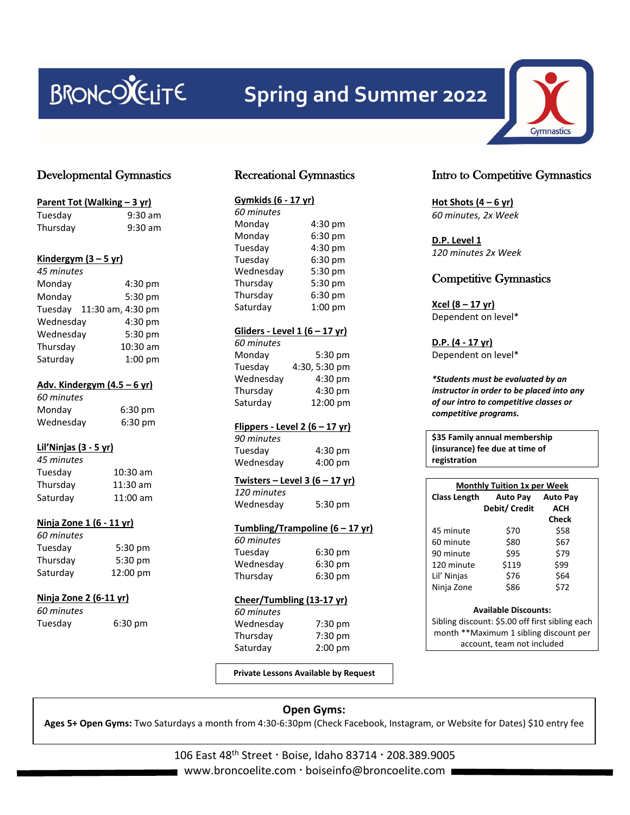# BRONCOLELITE

# **Spring and Summer 2022**

# Developmental Gymnastics

| Parent Tot (Walking - 3 yr) |            |  |  |  |
|-----------------------------|------------|--|--|--|
| Tuesday                     | $9:30$ am  |  |  |  |
| Thursday                    | 9:30 am    |  |  |  |
| Kindergym $(3 - 5$ yr)      |            |  |  |  |
| 45 minutes                  |            |  |  |  |
| Monday                      | 4:30 pm    |  |  |  |
| Monday                      | 5:30 pm    |  |  |  |
| Tuesday 11:30 am, 4:30 pm   |            |  |  |  |
| Wednesday                   | 4:30 pm    |  |  |  |
| Wednesday                   | 5:30 pm    |  |  |  |
| Thursday                    | 10:30 am   |  |  |  |
| Saturday                    | 1:00 pm    |  |  |  |
| Adv. Kindergym (4.5 - 6 yr) |            |  |  |  |
| 60 minutes                  |            |  |  |  |
| Monday                      | 6:30 pm    |  |  |  |
| Wednesday                   | 6:30 pm    |  |  |  |
| Lil'Ninjas (3 - 5 yr)       |            |  |  |  |
| 45 minutes                  |            |  |  |  |
| Tuesday                     | 10:30 am   |  |  |  |
| Thursday                    | 11:30 am   |  |  |  |
| Saturday                    | $11:00$ am |  |  |  |
| Ninja Zone 1 (6 - 11 yr)    |            |  |  |  |
| 60 minutes                  |            |  |  |  |
| Tuesday                     | 5:30 pm    |  |  |  |
| Thursday                    | 5:30 pm    |  |  |  |
| Saturday                    | 12:00 pm   |  |  |  |
| Ninja Zone 2 (6-11 yr)      |            |  |  |  |
| 60 minutes                  |            |  |  |  |
| Tuesday                     | 6:30 pm    |  |  |  |
|                             |            |  |  |  |

# Recreational Gymnastics

| Gymkids (6 - 17 yr) |           |  |
|---------------------|-----------|--|
| 60 minutes          |           |  |
| Monday              | 4:30 pm   |  |
| Monday              | 6:30 pm   |  |
| Tuesday             | 4:30 pm   |  |
| Tuesday             | 6:30 pm   |  |
| Wednesday           | 5:30 pm   |  |
| Thursday            | 5:30 pm   |  |
| Thursday            | 6:30 pm   |  |
| Saturday            | $1:00$ pm |  |
|                     |           |  |

#### **Gliders - Level 1 (6 – 17 yr)**

| 5:30 pm       |
|---------------|
| 4:30, 5:30 pm |
| 4:30 pm       |
| 4:30 pm       |
| 12:00 pm      |
|               |

#### **Flippers - Level 2 (6 – 17 yr)**

*90 minutes* Tuesday 4:30 pm Wednesday 4:00 pm

#### **Twisters – Level 3 (6 – 17 yr)** *120 minutes*

Wednesday 5:30 pm

# **Tumbling/Trampoline (6 – 17 yr)**

| 60 minutes |                   |
|------------|-------------------|
| Tuesday    | $6:30 \text{ pm}$ |
| Wednesday  | 6:30 pm           |
| Thursday   | $6:30$ pm         |

#### **Cheer/Tumbling (13-17 yr)**

*60 minutes* Wednesday 7:30 pm Thursday 7:30 pm Saturday 2:00 pm

# Intro to Competitive Gymnastics

**Hot Shots (4 – 6 yr)** *60 minutes, 2x Week* 

**D.P. Level 1** *120 minutes 2x Week*

# Competitive Gymnastics

**Xcel (8 – 17 yr)** Dependent on level\*

**D.P. (4 - 17 yr)** Dependent on level\*

*\*Students must be evaluated by an instructor in order to be placed into any of our intro to competitive classes or competitive programs.*

**\$35 Family annual membership (insurance) fee due at time of registration**

| <b>Monthly Tuition 1x per Week</b> |                 |                 |  |
|------------------------------------|-----------------|-----------------|--|
| <b>Class Length</b>                | <b>Auto Pay</b> | <b>Auto Pay</b> |  |
|                                    | Debit/ Credit   | ACH             |  |
|                                    |                 | Check           |  |
| 45 minute                          | \$70            | \$58            |  |
| 60 minute                          | \$80            | \$67            |  |
| 90 minute                          | \$95            | \$79            |  |
| 120 minute                         | \$119           | \$99            |  |
| Lil' Ninjas                        | \$76            | \$64            |  |
| Ninja Zone                         | \$86            | \$72            |  |

#### **Available Discounts:**

Sibling discount: \$5.00 off first sibling each month \*\*Maximum 1 sibling discount per account, team not included

**Private Lessons Available by Request**

#### **Open Gyms: Ages 5+ Open Gyms:** Two Saturdays a month from 4:30-6:30pm (Check Facebook, Instagram, or Website for Dates) \$10 entry fee

106 East 48<sup>th</sup> Street · Boise, Idaho 83714 · 208.389.9005 ■ www.broncoelite.com · boiseinfo@broncoelite.com